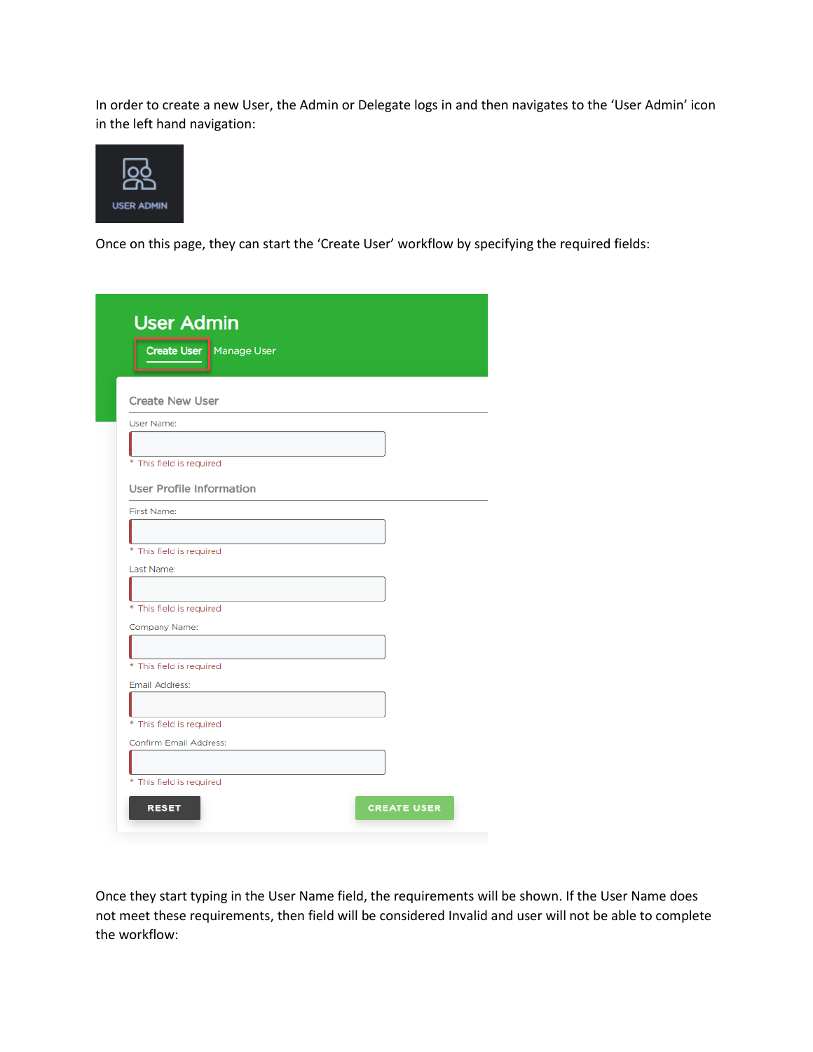In order to create a new User, the Admin or Delegate logs in and then navigates to the 'User Admin' icon in the left hand navigation:



Once on this page, they can start the 'Create User' workflow by specifying the required fields:

| <b>Create User</b> Manage User             |  |
|--------------------------------------------|--|
|                                            |  |
| <b>Create New User</b>                     |  |
| User Name:                                 |  |
|                                            |  |
| * This field is required                   |  |
|                                            |  |
| <b>User Profile Information</b>            |  |
| First Name:                                |  |
|                                            |  |
| * This field is required                   |  |
| Last Name:                                 |  |
|                                            |  |
| * This field is required                   |  |
| Company Name:                              |  |
|                                            |  |
| * This field is required<br>Email Address: |  |
|                                            |  |
| * This field is required                   |  |
| <b>Confirm Email Address:</b>              |  |
|                                            |  |
|                                            |  |

Once they start typing in the User Name field, the requirements will be shown. If the User Name does not meet these requirements, then field will be considered Invalid and user will not be able to complete the workflow: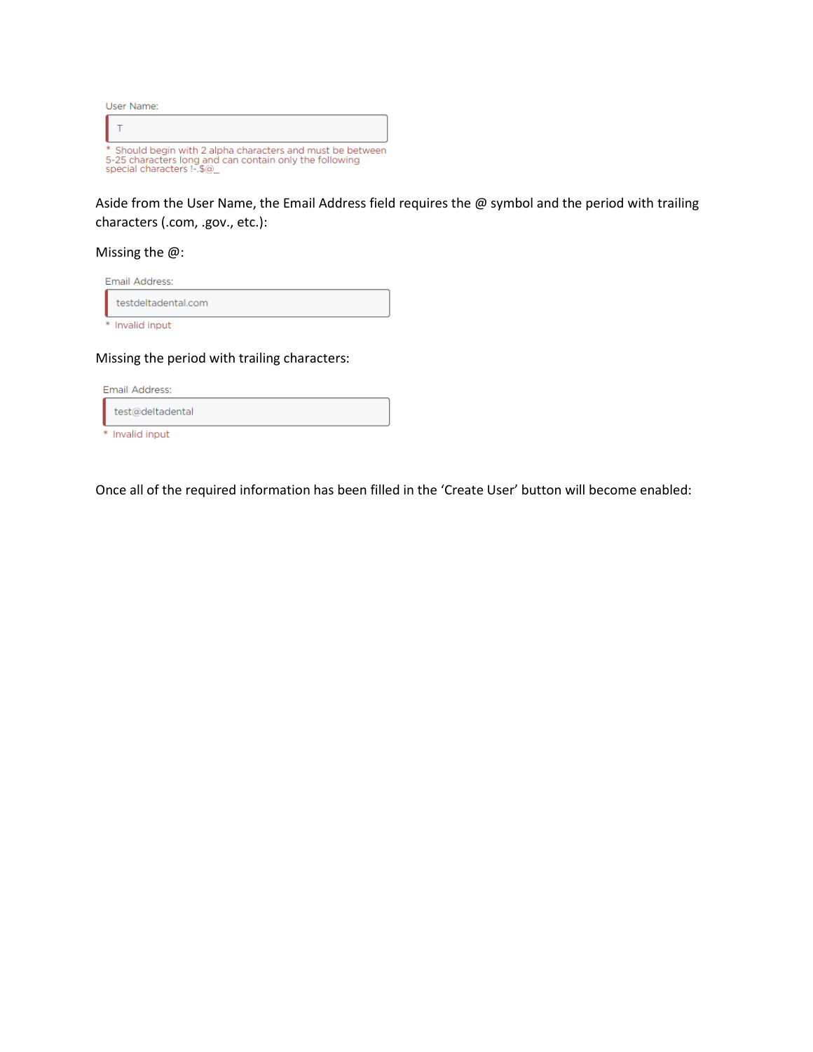| User Name:                                                                                                                                         |
|----------------------------------------------------------------------------------------------------------------------------------------------------|
|                                                                                                                                                    |
| * Should begin with 2 alpha characters and must be between<br>5-25 characters long and can contain only the following<br>special characters !-.\$@ |

Aside from the User Name, the Email Address field requires the @ symbol and the period with trailing characters (.com, .gov., etc.):

## Missing the @:

| Email Address:      |
|---------------------|
| testdeltadental.com |
| * Invalid input     |

Missing the period with trailing characters:

| Email Address:   |  |
|------------------|--|
| test@deltadental |  |
| * Invalid input  |  |

Once all of the required information has been filled in the 'Create User' button will become enabled: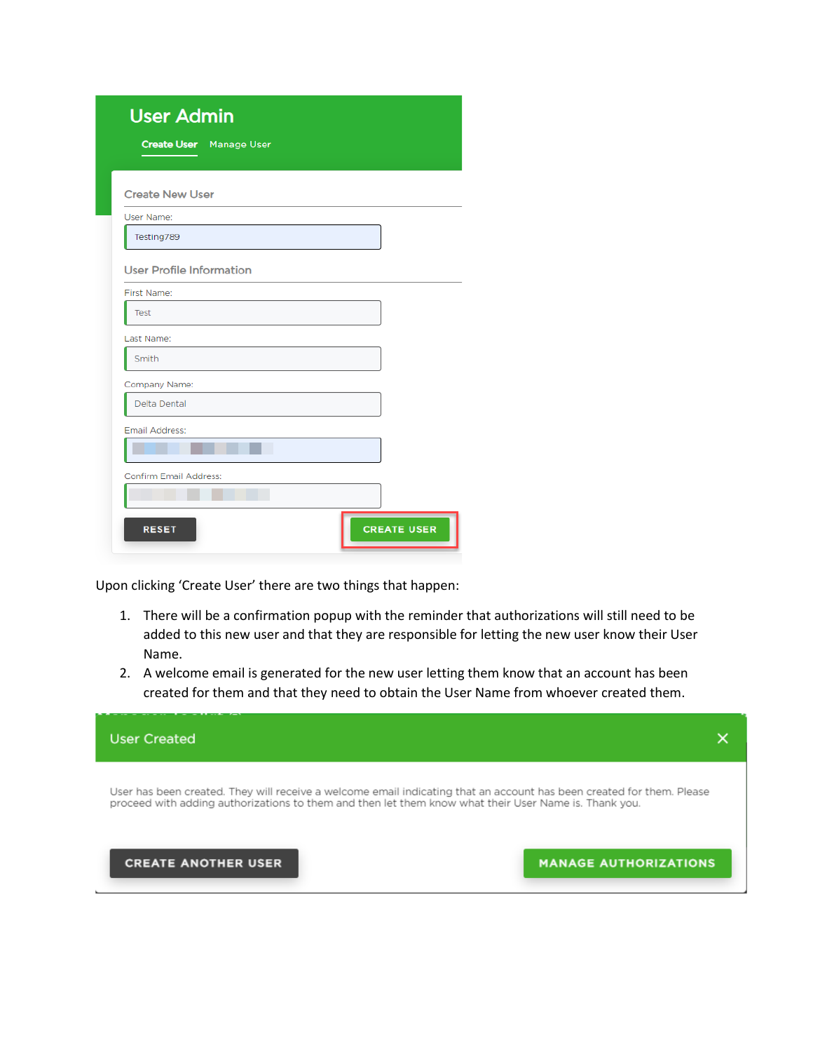| <b>User Admin</b><br><b>Create User</b> Manage User |                    |
|-----------------------------------------------------|--------------------|
| <b>Create New User</b>                              |                    |
| User Name:                                          |                    |
| Testing789                                          |                    |
| <b>User Profile Information</b>                     |                    |
| First Name:                                         |                    |
| Test                                                |                    |
| Last Name:                                          |                    |
| Smith                                               |                    |
| Company Name:                                       |                    |
| <b>Delta Dental</b>                                 |                    |
| Email Address:                                      |                    |
|                                                     |                    |
| <b>Confirm Email Address:</b>                       |                    |
|                                                     |                    |
| <b>RESET</b>                                        | <b>CREATE USER</b> |

Upon clicking 'Create User' there are two things that happen:

- 1. There will be a confirmation popup with the reminder that authorizations will still need to be added to this new user and that they are responsible for letting the new user know their User Name.
- 2. A welcome email is generated for the new user letting them know that an account has been created for them and that they need to obtain the User Name from whoever created them.

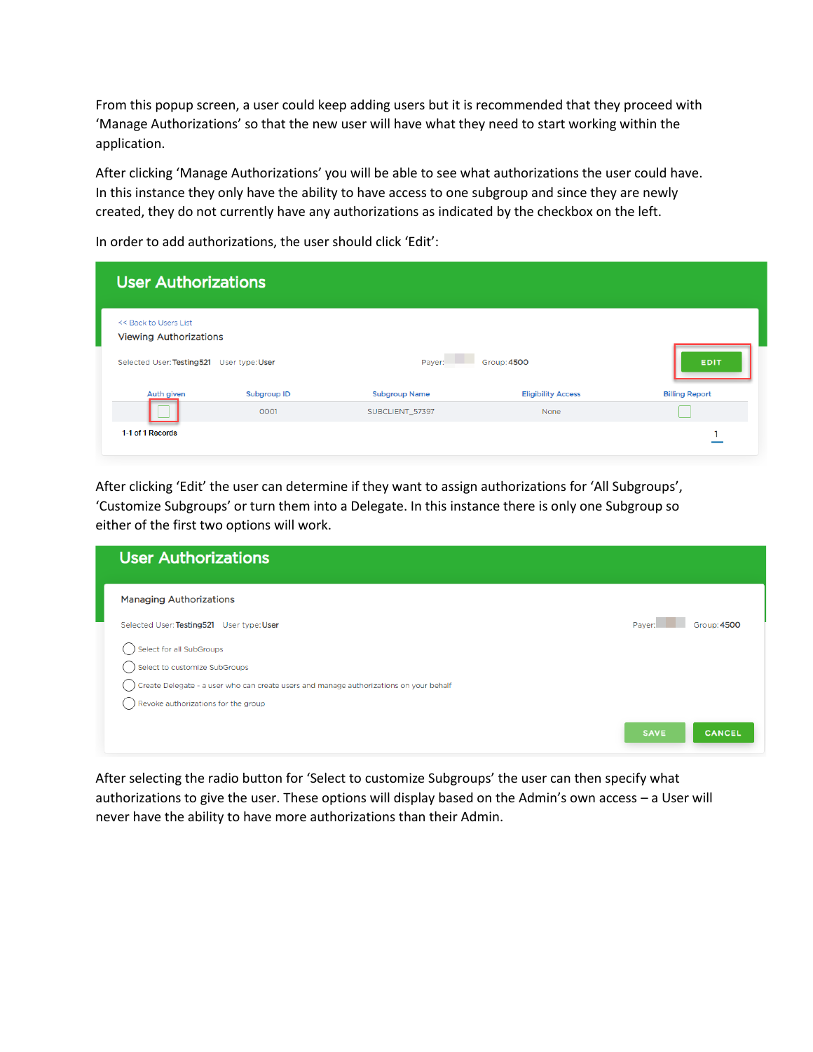From this popup screen, a user could keep adding users but it is recommended that they proceed with 'Manage Authorizations' so that the new user will have what they need to start working within the application.

After clicking 'Manage Authorizations' you will be able to see what authorizations the user could have. In this instance they only have the ability to have access to one subgroup and since they are newly created, they do not currently have any authorizations as indicated by the checkbox on the left.

In order to add authorizations, the user should click 'Edit':

| <b>User Authorizations</b>                                                                             |             |                      |                           |                       |
|--------------------------------------------------------------------------------------------------------|-------------|----------------------|---------------------------|-----------------------|
| << Back to Users List<br><b>Viewing Authorizations</b><br>Selected User: Testing521<br>User type: User |             | Payer:               | Group: 4500               | <b>EDIT</b>           |
| Auth given                                                                                             | Subgroup ID | <b>Subgroup Name</b> | <b>Eligibility Access</b> | <b>Billing Report</b> |
| 1-1 of 1 Records                                                                                       | 0001        | SUBCLIENT_57397      | None                      |                       |
|                                                                                                        |             |                      |                           |                       |

After clicking 'Edit' the user can determine if they want to assign authorizations for 'All Subgroups', 'Customize Subgroups' or turn them into a Delegate. In this instance there is only one Subgroup so either of the first two options will work.

| <b>User Authorizations</b>                                                             |                              |
|----------------------------------------------------------------------------------------|------------------------------|
| <b>Managing Authorizations</b>                                                         |                              |
| Selected User: Testing521 User type: User                                              | Group: 4500<br>Payer:        |
| Select for all SubGroups                                                               |                              |
| Select to customize SubGroups                                                          |                              |
| Create Delegate - a user who can create users and manage authorizations on your behalf |                              |
| Revoke authorizations for the group                                                    |                              |
|                                                                                        | <b>SAVE</b><br><b>CANCEL</b> |

After selecting the radio button for 'Select to customize Subgroups' the user can then specify what authorizations to give the user. These options will display based on the Admin's own access – a User will never have the ability to have more authorizations than their Admin.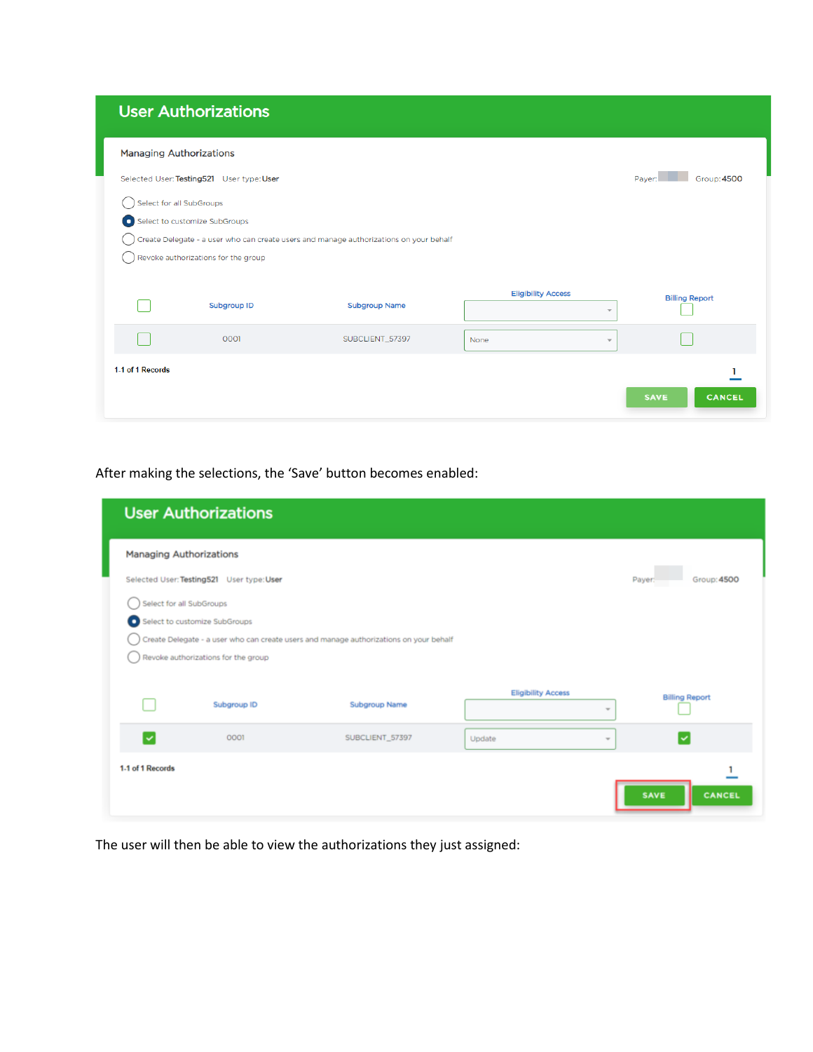## **User Authorizations**

| <b>Managing Authorizations</b> |                                           |                                                                                        |                           |                          |                              |
|--------------------------------|-------------------------------------------|----------------------------------------------------------------------------------------|---------------------------|--------------------------|------------------------------|
|                                | Selected User: Testing521 User type: User |                                                                                        |                           |                          | Group: 4500<br>Payer:        |
| Select for all SubGroups       |                                           |                                                                                        |                           |                          |                              |
|                                | Select to customize SubGroups             |                                                                                        |                           |                          |                              |
|                                |                                           | Create Delegate - a user who can create users and manage authorizations on your behalf |                           |                          |                              |
|                                | Revoke authorizations for the group       |                                                                                        |                           |                          |                              |
|                                |                                           |                                                                                        |                           |                          |                              |
|                                |                                           |                                                                                        | <b>Eligibility Access</b> |                          | <b>Billing Report</b>        |
|                                | Subgroup ID                               | <b>Subgroup Name</b>                                                                   |                           | $\overline{\phantom{a}}$ |                              |
|                                | 0001                                      | SUBCLIENT_57397                                                                        | None                      | $\overline{\phantom{a}}$ |                              |
|                                |                                           |                                                                                        |                           |                          |                              |
| 1-1 of 1 Records               |                                           |                                                                                        |                           |                          |                              |
|                                |                                           |                                                                                        |                           |                          | <b>CANCEL</b><br><b>SAVE</b> |

After making the selections, the 'Save' button becomes enabled:

|                                | <b>User Authorizations</b>                |                                                                                        |                           |                               |
|--------------------------------|-------------------------------------------|----------------------------------------------------------------------------------------|---------------------------|-------------------------------|
| <b>Managing Authorizations</b> |                                           |                                                                                        |                           |                               |
|                                | Selected User: Testing521 User type: User |                                                                                        |                           | <b>Group: 4500</b><br>Payer:  |
| Select for all SubGroups       |                                           |                                                                                        |                           |                               |
|                                | Select to customize SubGroups             |                                                                                        |                           |                               |
|                                |                                           | Create Delegate - a user who can create users and manage authorizations on your behalf |                           |                               |
|                                | Revoke authorizations for the group       |                                                                                        |                           |                               |
|                                |                                           |                                                                                        |                           |                               |
|                                | Subgroup ID                               | <b>Subgroup Name</b>                                                                   | <b>Eligibility Access</b> | <b>Billing Report</b><br>$\;$ |
|                                |                                           |                                                                                        |                           |                               |
| է                              | 0001                                      | SUBCLIENT_57397                                                                        | Update                    | V<br>$\sim$                   |
| 1.1 of 1 Records               |                                           |                                                                                        |                           |                               |
|                                |                                           |                                                                                        |                           |                               |
|                                |                                           |                                                                                        |                           | <b>SAVE</b><br><b>CANCEL</b>  |

The user will then be able to view the authorizations they just assigned: